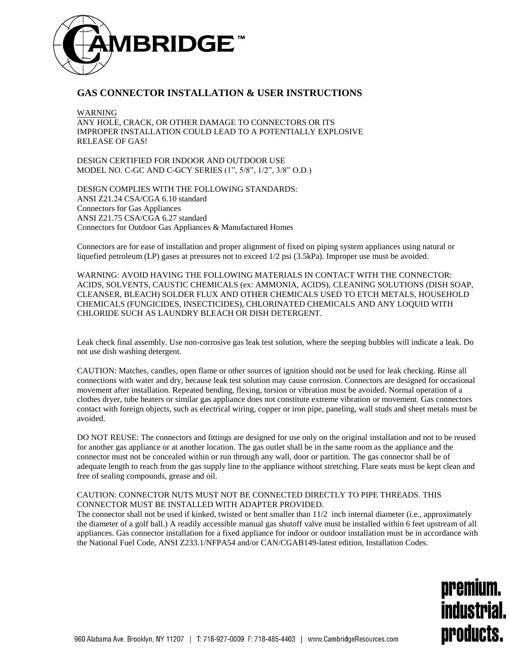

## **GAS CONNECTOR INSTALLATION & USER INSTRUCTIONS**

WARNING ANY HOLE, CRACK, OR OTHER DAMAGE TO CONNECTORS OR ITS IMPROPER INSTALLATION COULD LEAD TO A POTENTIALLY EXPLOSIVE RELEASE OF GAS!

DESIGN CERTIFIED FOR INDOOR AND OUTDOOR USE MODEL NO. C-GC AND C-GCY SERIES (1", 5/8", 1/2", 3/8" O.D.)

DESIGN COMPLIES WITH THE FOLLOWING STANDARDS: ANSI Z21.24 CSA/CGA 6.10 standard Connectors for Gas Appliances ANSI Z21.75 CSA/CGA 6.27 standard Connectors for Outdoor Gas Appliances & Manufactured Homes

Connectors are for ease of installation and proper alignment of fixed on piping system appliances using natural or liquefied petroleum (LP) gases at pressures not to exceed 1/2 psi (3.5kPa). Improper use must be avoided.

WARNING: AVOID HAVING THE FOLLOWING MATERIALS IN CONTACT WITH THE CONNECTOR: ACIDS, SOLVENTS, CAUSTIC CHEMICALS (ex: AMMONIA, ACIDS), CLEANING SOLUTIONS (DISH SOAP, CLEANSER, BLEACH) SOLDER FLUX AND OTHER CHEMICALS USED TO ETCH METALS, HOUSEHOLD CHEMICALS (FUNGICIDES, INSECTICIDES), CHLORINATED CHEMICALS AND ANY LOQUID WITH CHLORIDE SUCH AS LAUNDRY BLEACH OR DISH DETERGENT.

Leak check final assembly. Use non-corrosive gas leak test solution, where the seeping bubbles will indicate a leak. Do not use dish washing detergent.

CAUTION: Matches, candles, open flame or other sources of ignition should not be used for leak checking. Rinse all connections with water and dry, because leak test solution may cause corrosion. Connectors are designed for occasional movement after installation. Repeated bending, flexing, torsion or vibration must be avoided. Normal operation of a clothes dryer, tube heaters or similar gas appliance does not constitute extreme vibration or movement. Gas connectors contact with foreign objects, such as electrical wiring, copper or iron pipe, paneling, wall studs and sheet metals must be avoided.

DO NOT REUSE: The connectors and fittings are designed for use only on the original installation and not to be reused for another gas appliance or at another location. The gas outlet shall be in the same room as the appliance and the connector must not be concealed within or run through any wall, door or partition. The gas connector shall be of adequate length to reach from the gas supply line to the appliance without stretching. Flare seats must be kept clean and free of sealing compounds, grease and oil.

## CAUTION: CONNECTOR NUTS MUST NOT BE CONNECTED DIRECTLY TO PIPE THREADS. THIS CONNECTOR MUST BE INSTALLED WITH ADAPTER PROVIDED.

The connector shall not be used if kinked, twisted or bent smaller than 11/2 inch internal diameter (i.e., approximately the diameter of a golf ball.) A readily accessible manual gas shutoff valve must be installed within 6 feet upstream of all appliances. Gas connector installation for a fixed appliance for indoor or outdoor installation must be in accordance with the National Fuel Code, ANSI Z233.1/NFPA54 and/or CAN/CGAB149-latest edition, Installation Codes.

> premium. industrial. products.